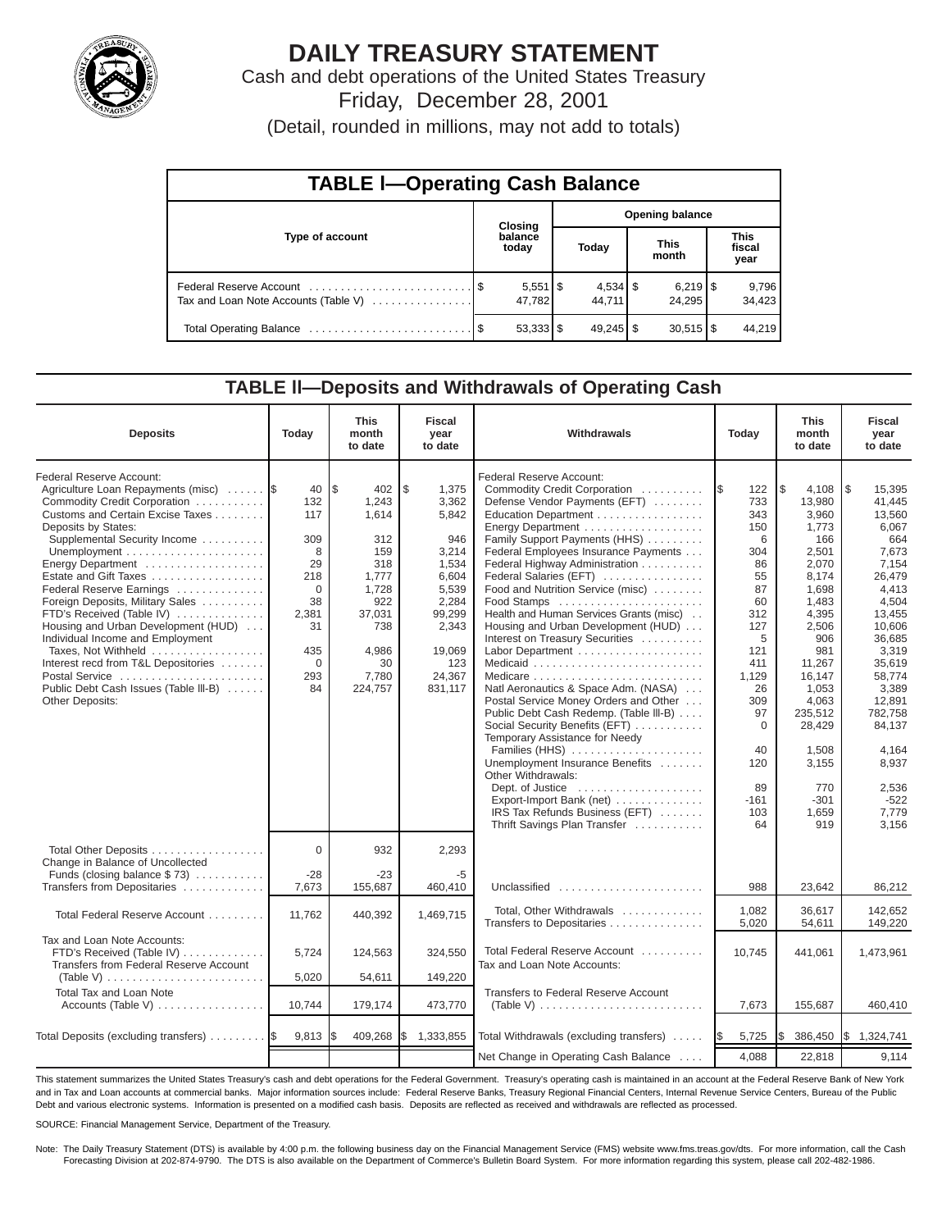

# **DAILY TREASURY STATEMENT**

Cash and debt operations of the United States Treasury Friday, December 28, 2001

(Detail, rounded in millions, may not add to totals)

| <b>TABLE I-Operating Cash Balance</b> |  |                        |                        |                              |  |                                 |  |                               |  |
|---------------------------------------|--|------------------------|------------------------|------------------------------|--|---------------------------------|--|-------------------------------|--|
|                                       |  | <b>Closing</b>         | <b>Opening balance</b> |                              |  |                                 |  |                               |  |
| Type of account                       |  | balance<br>today       |                        | Today                        |  | <b>This</b><br>month            |  | <b>This</b><br>fiscal<br>year |  |
| Tax and Loan Note Accounts (Table V)  |  | 47.782                 |                        | $4,534$ $\sqrt{5}$<br>44.711 |  | $6,219$ $\frac{8}{3}$<br>24.295 |  | 9,796<br>34,423               |  |
|                                       |  | $53,333$ $\frac{1}{3}$ |                        |                              |  | $30,515$ $\frac{8}{3}$          |  | 44.219                        |  |

#### **TABLE ll—Deposits and Withdrawals of Operating Cash**

| <b>Deposits</b>                                                                                                                                                                                                                                                                                                                                                                                                                                                                                                                        | Today                                                                                               | <b>This</b><br>month<br>to date                                                                                                 | <b>Fiscal</b><br>year<br>to date                                                                                                           | Withdrawals                                                                                                                                                                                                                                                                                                                                                                                                                                                                                                                                                                                                                                                                                                                                                                                                                                                                                       | Today                                                                                                                                                                                     | <b>This</b><br>month<br>to date                                                                                                                                                                                                            | <b>Fiscal</b><br>year<br>to date                                                                                                                                                                                                                                 |
|----------------------------------------------------------------------------------------------------------------------------------------------------------------------------------------------------------------------------------------------------------------------------------------------------------------------------------------------------------------------------------------------------------------------------------------------------------------------------------------------------------------------------------------|-----------------------------------------------------------------------------------------------------|---------------------------------------------------------------------------------------------------------------------------------|--------------------------------------------------------------------------------------------------------------------------------------------|---------------------------------------------------------------------------------------------------------------------------------------------------------------------------------------------------------------------------------------------------------------------------------------------------------------------------------------------------------------------------------------------------------------------------------------------------------------------------------------------------------------------------------------------------------------------------------------------------------------------------------------------------------------------------------------------------------------------------------------------------------------------------------------------------------------------------------------------------------------------------------------------------|-------------------------------------------------------------------------------------------------------------------------------------------------------------------------------------------|--------------------------------------------------------------------------------------------------------------------------------------------------------------------------------------------------------------------------------------------|------------------------------------------------------------------------------------------------------------------------------------------------------------------------------------------------------------------------------------------------------------------|
| Federal Reserve Account:<br>Agriculture Loan Repayments (misc)  \$<br>Commodity Credit Corporation<br>Customs and Certain Excise Taxes<br>Deposits by States:<br>Supplemental Security Income<br>Energy Department<br>Federal Reserve Earnings<br>Foreign Deposits, Military Sales<br>FTD's Received (Table IV)<br>Housing and Urban Development (HUD)<br>Individual Income and Employment<br>Taxes, Not Withheld<br>Interest recd from T&L Depositories<br>Postal Service<br>Public Debt Cash Issues (Table III-B)<br>Other Deposits: | 40<br>132<br>117<br>309<br>8<br>29<br>218<br>$\Omega$<br>38<br>2,381<br>31<br>435<br>0<br>293<br>84 | l \$<br>402<br>1,243<br>1,614<br>312<br>159<br>318<br>1,777<br>1,728<br>922<br>37,031<br>738<br>4,986<br>30<br>7,780<br>224,757 | \$<br>1,375<br>3,362<br>5,842<br>946<br>3,214<br>1,534<br>6,604<br>5,539<br>2,284<br>99,299<br>2,343<br>19,069<br>123<br>24,367<br>831,117 | Federal Reserve Account:<br>Commodity Credit Corporation<br>Defense Vendor Payments (EFT)<br>Education Department<br>Family Support Payments (HHS)<br>Federal Employees Insurance Payments<br>Federal Highway Administration<br>Federal Salaries (EFT)<br>Food and Nutrition Service (misc)<br>Food Stamps<br>Health and Human Services Grants (misc)<br>Housing and Urban Development (HUD)<br>Interest on Treasury Securities<br>Labor Department<br>Medicaid<br>Natl Aeronautics & Space Adm. (NASA)<br>Postal Service Money Orders and Other<br>Public Debt Cash Redemp. (Table III-B)<br>Social Security Benefits (EFT)<br>Temporary Assistance for Needy<br>Families (HHS)<br>Unemployment Insurance Benefits<br>Other Withdrawals:<br>Dept. of Justice $\dots\dots\dots\dots\dots\dots\dots$<br>Export-Import Bank (net)<br>IRS Tax Refunds Business (EFT)<br>Thrift Savings Plan Transfer | 122<br>1\$<br>733<br>343<br>150<br>6<br>304<br>86<br>55<br>87<br>60<br>312<br>127<br>5<br>121<br>411<br>1,129<br>26<br>309<br>97<br>$\mathbf 0$<br>40<br>120<br>89<br>$-161$<br>103<br>64 | 4,108<br>1\$<br>13,980<br>3,960<br>1,773<br>166<br>2,501<br>2.070<br>8.174<br>1,698<br>1,483<br>4,395<br>2,506<br>906<br>981<br>11,267<br>16,147<br>1,053<br>4,063<br>235,512<br>28,429<br>1.508<br>3,155<br>770<br>$-301$<br>1.659<br>919 | $\sqrt{3}$<br>15,395<br>41.445<br>13,560<br>6,067<br>664<br>7.673<br>7.154<br>26.479<br>4.413<br>4,504<br>13.455<br>10.606<br>36,685<br>3,319<br>35,619<br>58,774<br>3,389<br>12,891<br>782,758<br>84.137<br>4.164<br>8,937<br>2,536<br>$-522$<br>7,779<br>3,156 |
| Total Other Deposits<br>Change in Balance of Uncollected<br>Funds (closing balance $$73)$                                                                                                                                                                                                                                                                                                                                                                                                                                              | $\Omega$<br>$-28$                                                                                   | 932<br>$-23$                                                                                                                    | 2,293<br>-5                                                                                                                                |                                                                                                                                                                                                                                                                                                                                                                                                                                                                                                                                                                                                                                                                                                                                                                                                                                                                                                   |                                                                                                                                                                                           |                                                                                                                                                                                                                                            |                                                                                                                                                                                                                                                                  |
| Transfers from Depositaries<br>Total Federal Reserve Account                                                                                                                                                                                                                                                                                                                                                                                                                                                                           | 7,673<br>11.762                                                                                     | 155,687<br>440,392                                                                                                              | 460,410<br>1,469,715                                                                                                                       | Unclassified<br>Total, Other Withdrawals<br>Transfers to Depositaries                                                                                                                                                                                                                                                                                                                                                                                                                                                                                                                                                                                                                                                                                                                                                                                                                             | 988<br>1,082<br>5,020                                                                                                                                                                     | 23,642<br>36.617<br>54,611                                                                                                                                                                                                                 | 86,212<br>142.652<br>149,220                                                                                                                                                                                                                                     |
| Tax and Loan Note Accounts:<br>FTD's Received (Table IV)<br>Transfers from Federal Reserve Account<br>(Table V) $\ldots \ldots \ldots \ldots \ldots \ldots \ldots$                                                                                                                                                                                                                                                                                                                                                                     | 5,724<br>5,020                                                                                      | 124,563<br>54,611                                                                                                               | 324,550<br>149,220                                                                                                                         | Total Federal Reserve Account<br>Tax and Loan Note Accounts:                                                                                                                                                                                                                                                                                                                                                                                                                                                                                                                                                                                                                                                                                                                                                                                                                                      | 10,745                                                                                                                                                                                    | 441,061                                                                                                                                                                                                                                    | 1,473,961                                                                                                                                                                                                                                                        |
| Total Tax and Loan Note<br>Accounts (Table V)                                                                                                                                                                                                                                                                                                                                                                                                                                                                                          | 10,744                                                                                              | 179,174                                                                                                                         | 473,770                                                                                                                                    | Transfers to Federal Reserve Account<br>(Table V) $\ldots \ldots \ldots \ldots \ldots \ldots \ldots \ldots$                                                                                                                                                                                                                                                                                                                                                                                                                                                                                                                                                                                                                                                                                                                                                                                       | 7,673                                                                                                                                                                                     | 155,687                                                                                                                                                                                                                                    | 460,410                                                                                                                                                                                                                                                          |
| Total Deposits (excluding transfers)                                                                                                                                                                                                                                                                                                                                                                                                                                                                                                   | 9,813                                                                                               | 409,268                                                                                                                         | 1,333,855<br>I\$                                                                                                                           | Total Withdrawals (excluding transfers)                                                                                                                                                                                                                                                                                                                                                                                                                                                                                                                                                                                                                                                                                                                                                                                                                                                           | 5,725<br><b>IS</b>                                                                                                                                                                        | Ι\$<br>386,450                                                                                                                                                                                                                             | \$1,324,741                                                                                                                                                                                                                                                      |
|                                                                                                                                                                                                                                                                                                                                                                                                                                                                                                                                        |                                                                                                     |                                                                                                                                 |                                                                                                                                            | Net Change in Operating Cash Balance                                                                                                                                                                                                                                                                                                                                                                                                                                                                                                                                                                                                                                                                                                                                                                                                                                                              | 4,088                                                                                                                                                                                     | 22,818                                                                                                                                                                                                                                     | 9.114                                                                                                                                                                                                                                                            |

This statement summarizes the United States Treasury's cash and debt operations for the Federal Government. Treasury's operating cash is maintained in an account at the Federal Reserve Bank of New York and in Tax and Loan accounts at commercial banks. Major information sources include: Federal Reserve Banks, Treasury Regional Financial Centers, Internal Revenue Service Centers, Bureau of the Public Debt and various electronic systems. Information is presented on a modified cash basis. Deposits are reflected as received and withdrawals are reflected as processed.

SOURCE: Financial Management Service, Department of the Treasury.

Note: The Daily Treasury Statement (DTS) is available by 4:00 p.m. the following business day on the Financial Management Service (FMS) website www.fms.treas.gov/dts. For more information, call the Cash<br>Forecasting Divisio